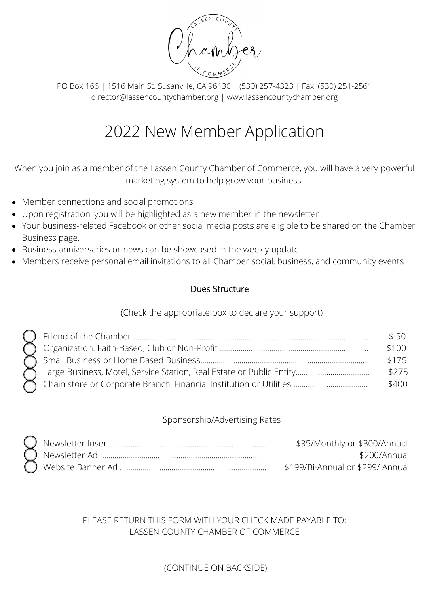

PO Box 166 | 1516 Main St. Susanville, CA 96130 | (530) 257-4323 | Fax: (530) 251-2561 director@lassencountychamber.org | www.lassencountychamber.org

## 2022 New Member Application

When you join as a member of the Lassen County Chamber of Commerce, you will have a very powerful marketing system to help grow your business.

- Member connections and social promotions
- Upon registration, you will be highlighted as a new member in the newsletter
- Your business-related Facebook or other social media posts are eligible to be shared on the Chamber Business page.
- Business anniversaries or news can be showcased in the weekly update
- Members receive personal email invitations to all Chamber social, business, and community events

## Dues Structure

(Check the appropriate box to declare your support)

|                                                                      | 55()  |
|----------------------------------------------------------------------|-------|
|                                                                      | \$100 |
|                                                                      | 5175  |
| Large Business, Motel, Service Station, Real Estate or Public Entity | \$275 |
|                                                                      | \$400 |

## Sponsorship/Advertising Rates

|  | \$35/Monthly or \$300/Annual     |
|--|----------------------------------|
|  | \$200/Annual                     |
|  | \$199/Bi-Annual or \$299/ Annual |

## PLEASE RETURN THIS FORM WITH YOUR CHECK MADE PAYABLE TO: LASSEN COUNTY CHAMBER OF COMMERCE

(CONTINUE ON BACKSIDE)